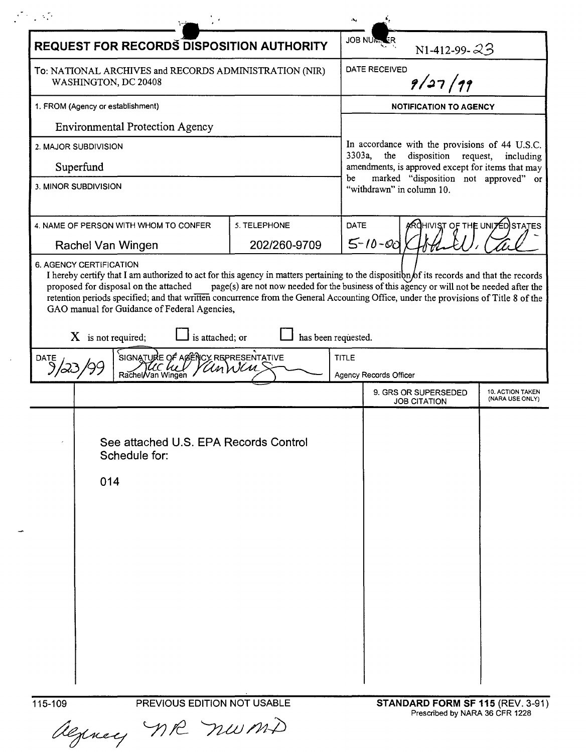|                                                                                |                                   | <b>REQUEST FOR RECORDS DISPOSITION AUTHORITY</b>                                                      |                              |                                                                            | <b>JOB NUMALER</b>                                                      | N1-412-99- $23$                                               |                                            |
|--------------------------------------------------------------------------------|-----------------------------------|-------------------------------------------------------------------------------------------------------|------------------------------|----------------------------------------------------------------------------|-------------------------------------------------------------------------|---------------------------------------------------------------|--------------------------------------------|
| To: NATIONAL ARCHIVES and RECORDS ADMINISTRATION (NIR)<br>WASHINGTON, DC 20408 |                                   |                                                                                                       |                              | DATE RECEIVED<br>9/27/99                                                   |                                                                         |                                                               |                                            |
|                                                                                | 1. FROM (Agency or establishment) |                                                                                                       |                              |                                                                            | <b>NOTIFICATION TO AGENCY</b>                                           |                                                               |                                            |
|                                                                                |                                   | <b>Environmental Protection Agency</b>                                                                |                              |                                                                            |                                                                         |                                                               |                                            |
| 2. MAJOR SUBDIVISION                                                           |                                   |                                                                                                       |                              | 3303a,                                                                     | the                                                                     | In accordance with the provisions of 44 U.S.C.<br>disposition |                                            |
| Superfund                                                                      |                                   |                                                                                                       |                              | request,<br>including<br>amendments, is approved except for items that may |                                                                         |                                                               |                                            |
| 3. MINOR SUBDIVISION                                                           |                                   |                                                                                                       |                              |                                                                            | marked "disposition not approved" or<br>be<br>"withdrawn" in column 10. |                                                               |                                            |
|                                                                                |                                   | 4. NAME OF PERSON WITH WHOM TO CONFER<br>Rachel Van Wingen                                            | 5. TELEPHONE<br>202/260-9709 | <b>DATE</b>                                                                | $5 - 10 - 00$                                                           | <b>ARCHIVIST OF THE UNITED STATES</b>                         |                                            |
| DATE                                                                           | $X$ is not required;              | GAO manual for Guidance of Federal Agencies,<br>is attached; or<br>SIGNATURE OF AGENCY REPRESENTATIVE | UnWen                        | has been requested.<br><b>TITLE</b>                                        |                                                                         |                                                               |                                            |
|                                                                                |                                   | Rachel/Van Winger                                                                                     |                              |                                                                            | Agency Records Officer                                                  |                                                               |                                            |
|                                                                                |                                   |                                                                                                       |                              |                                                                            |                                                                         | 9. GRS OR SUPERSEDED<br><b>JOB CITATION</b>                   | <b>10. ACTION TAKEN</b><br>(NARA USE ONLY) |
|                                                                                | 014                               | See attached U.S. EPA Records Control<br>Schedule for:                                                |                              |                                                                            |                                                                         |                                                               |                                            |
|                                                                                |                                   |                                                                                                       |                              |                                                                            |                                                                         |                                                               |                                            |
|                                                                                |                                   |                                                                                                       |                              |                                                                            |                                                                         |                                                               |                                            |
|                                                                                |                                   |                                                                                                       |                              |                                                                            |                                                                         |                                                               |                                            |

algunney MR num

 $\sim 10^{-10}$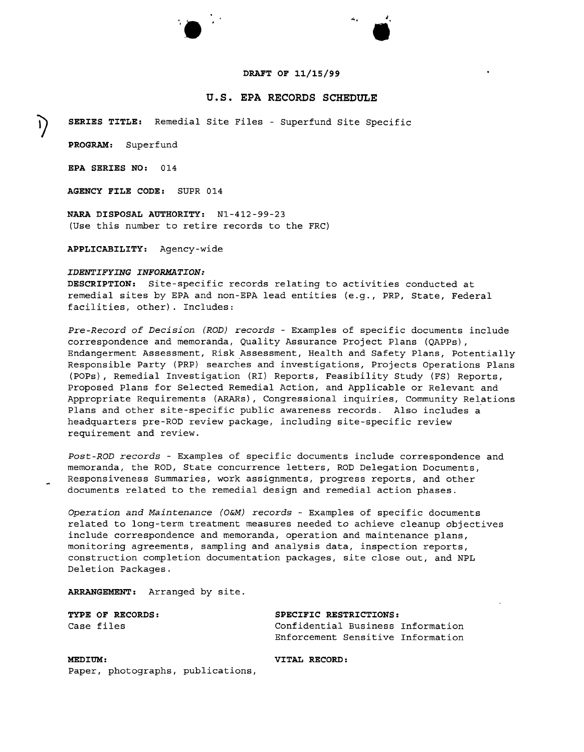### **DRAFT OF 11/15/99**

**<sup>e</sup>'**

..,

## **u.s. EPA RECORDS SCHEDULE**

**~ SERIES TITLE:** Remedial Site Files - Superfund Site Specific

**PROGRAM:** Superfund

**EPA SERIES NO:** 014

**AGENCY FILE CODE:** SUPR 014

**NARA DISPOSAL AUTHORITY:** N1-412-99-23 (Use this number to retire records to the FRC)

**".**

**APPLICABILITY:** Agency-wide

### *IDENTIFYING INFORMATION:*

**DESCRIPTION:** Site-specific records relating to activities conducted at remedial sites by EPA and non-EPA lead entities (e.g., PRP, State, Federal facilities, other). Includes:

*Pre-Record of Decision (ROD) records -* Examples of specific documents include correspondence and memoranda, Quality Assurance Project Plans (QAPPs), Endangerment Assessment, Risk Assessment, Health and Safety Plans, Potentially Responsible Party (PRP) searches and investigations, Projects operations Plans (POPs), Remedial Investigation (RI) Reports, Feasibility Study (FS) Reports, Proposed Plans for Selected Remedial Action, and Applicable or Relevant and Appropriate Requirements (ARARs) , Congressional inquiries, Community Relations Plans and other site-specific public awareness records. Also includes a headquarters pre-ROD review package, including site-specific review requirement and review.

*Post-ROD records -* Examples of specific documents include correspondence and memoranda, the ROD, State concurrence letters, ROD Delegation Documents, Responsiveness Summaries, work assignments, progress reports, and other documents related to the remedial design and remedial action phases.

*Operation and Maintenance (O&M) records -* Examples of specific documents related to long-term treatment measures needed to achieve cleanup objectives include correspondence and memoranda, operation and maintenance plans, monitoring agreements, sampling and analysis data, inspection reports, construction completion documentation packages, site close out, and NPL Deletion Packages.

**ARRANGEMENT:** Arranged by site.

**TYPE OF RECORDS: SPECIFIC RESTRICTIONS:**

Case files **Confidential Business Information** Enforcement Sensitive Information

**MEDIUM: VITAL RECORD:** Paper, photographs, publications,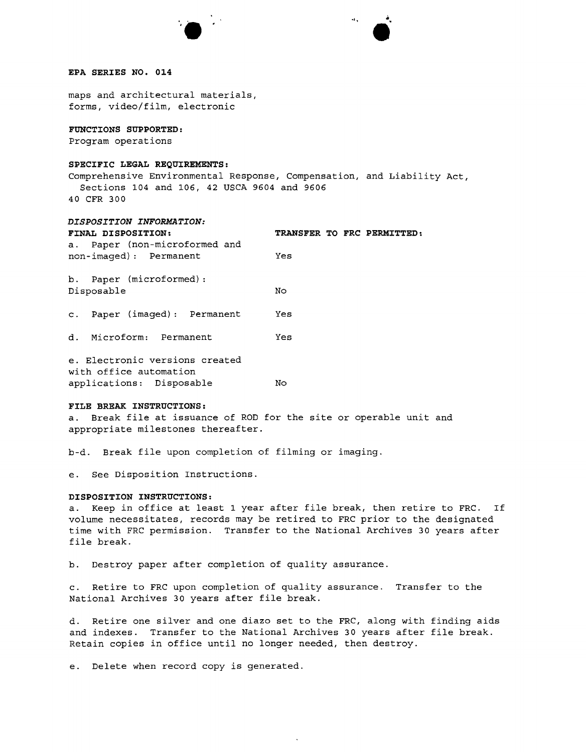



### **EPA SERIES NO. 014**

maps and architectural materials, forms, video/film, electronic

## **FUNCTIONS SUPPORTED:**

Program operations

## **SPECIFIC LEGAL REQUIREMENTS:**

Comprehensive Environmental Response, Compensation, and Liability Act, Sections 104 and 106, 42 USCA 9604 and 9606 40 CFR 300

# *DISPOSITION INFORMATION:*

| FINAL DISPOSITION:                                       | TRANSFER TO FRC PERMITTED: |
|----------------------------------------------------------|----------------------------|
| a. Paper (non-microformed and<br>non-imaged): Permanent  | Yes                        |
| b. Paper (microformed):<br>Disposable                    | No                         |
| c. Paper (imaged): Permanent                             | Yes                        |
| d. Microform: Permanent                                  | Yes                        |
| e. Electronic versions created<br>with office automation |                            |

### **FILE BREAK INSTRUCTIONS:**

a. Break file at issuance of ROD for the site or operable unit and appropriate milestones thereafter.

b-d. Break file upon completion of filming or imaging.

e. See Disposition Instructions.

applications: Disposable No

#### **DISPOSITION INSTRUCTIONS:**

a. Keep in office at least 1 year after file break, then retire to FRC. If volume necessitates, records may be retired to FRC prior to the designated time with FRC permission. Transfer to the National Archives 30 years after file break.

b. Destroy paper after completion of quality assurance.

c. Retire to FRC upon completion of quality assurance. Transfer to the National Archives 30 years after file break.

d. Retire one silver and one diazo set to the FRC, along with finding aids and indexes. Transfer to the National Archives 30 years after file break. Retain copies in office until no longer needed, then destroy.

e. Delete when record copy is generated.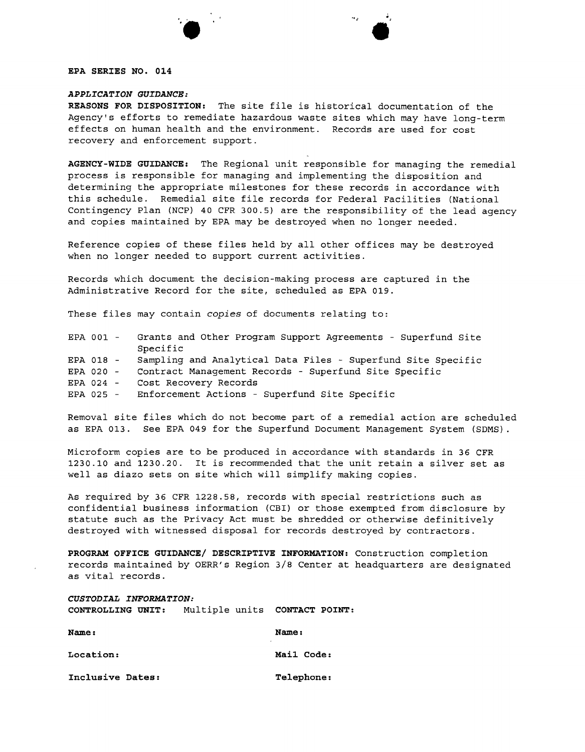## **EPA SERIES NO. 014**

# *APPLICATION GUIDANCE:*

**".**

i<br>L

**REASONS FOR DISPOSITION:** The site file is historical documentation of the Agency's efforts to remediate hazardous waste sites which may have long-term effects on human health and the environment. Records are used for cost recovery and enforcement support.

**AGENCY-WIDE GUIDANCE:** The Regional unit responsible for managing the remedial process is responsible for managing and implementing the disposition and determining the appropriate milestones for these records in accordance with this schedule. Remedial site file records for Federal Facilities (National Contingency Plan (NCP) 40 CFR 300.5) are the responsibility of the lead agency and copies maintained by EPA may be destroyed when no longer needed.

Reference copies of these files held by all other offices may be destroyed when no longer needed to support current activities.

Records which document the decision-making process are captured in the Administrative Record for the site, scheduled as EPA 019.

These files may contain *copies* of documents relating to:

|           | EPA 001 - Grants and Other Program Support Agreements - Superfund Site<br>Specific |
|-----------|------------------------------------------------------------------------------------|
|           |                                                                                    |
| EPA 018 - | Sampling and Analytical Data Files - Superfund Site Specific                       |
| EPA 020 - | Contract Management Records - Superfund Site Specific                              |
| EPA 024 - | Cost Recovery Records                                                              |
|           | EPA 025 - Enforcement Actions - Superfund Site Specific                            |

Removal site files which do not become part of a remedial action are scheduled as EPA 013. See EPA 049 for the Superfund Document Management System (SDMS).

Microform copies are to be produced in accordance with standards in 36 CFR 1230.10 and 1230.20. It is recommended that the unit retain a silver set as well as diazo sets on site which will simplify making copies.

As required by 36 CFR 1228.58, records with special restrictions such as confidential business information (CBI) or those exempted from disclosure by statute such as the Privacy Act must be shredded or otherwise definitively destroyed with witnessed disposal for records destroyed by contractors.

**PROGRAM OFFICE GUIDANCE/ DESCRIPTIVE INFORMATION:** Construction completion records maintained by OERR's Region 3/8 Center at headquarters are designated as vital records.

*CUSTODIAL INFORMATION:* **CONTROLLING UNIT:** Multiple units **CONTACT POINT:**

| <b>Name:</b>     | Name:      |  |  |
|------------------|------------|--|--|
| <b>Location:</b> | Mail Code: |  |  |
| Inclusive Dates: | Telephone: |  |  |